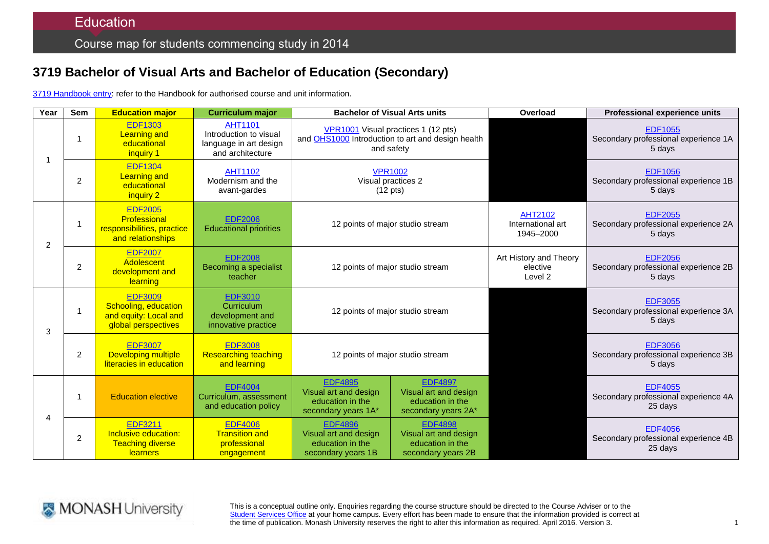# **3719 Bachelor of Visual Arts and Bachelor of Education (Secondary)**

3719 [Handbook entry:](http://www.monash.edu.au/pubs/2014handbooks/courses/3719.html) refer to the Handbook for authorised course and unit information.

| Year | <b>Sem</b>     | <b>Education major</b>                                                                 | <b>Curriculum major</b>                                                                | <b>Bachelor of Visual Arts units</b>                                                                   |                                                                                    | Overload                                      | Professional experience units                                     |
|------|----------------|----------------------------------------------------------------------------------------|----------------------------------------------------------------------------------------|--------------------------------------------------------------------------------------------------------|------------------------------------------------------------------------------------|-----------------------------------------------|-------------------------------------------------------------------|
|      |                | <b>EDF1303</b><br><b>Learning and</b><br>educational<br>inquiry 1                      | <b>AHT1101</b><br>Introduction to visual<br>language in art design<br>and architecture | VPR1001 Visual practices 1 (12 pts)<br>and OHS1000 Introduction to art and design health<br>and safety |                                                                                    |                                               | <b>EDF1055</b><br>Secondary professional experience 1A<br>5 days  |
|      | $\overline{c}$ | <b>EDF1304</b><br><b>Learning and</b><br>educational<br>inquiry 2                      | <b>AHT1102</b><br>Modernism and the<br>avant-gardes                                    | <b>VPR1002</b><br>Visual practices 2<br>$(12 \text{ pts})$                                             |                                                                                    |                                               | <b>EDF1056</b><br>Secondary professional experience 1B<br>5 days  |
| 2    | 1              | <b>EDF2005</b><br>Professional<br>responsibilities, practice<br>and relationships      | <b>EDF2006</b><br><b>Educational priorities</b>                                        | 12 points of major studio stream                                                                       |                                                                                    | AHT2102<br>International art<br>1945-2000     | <b>EDF2055</b><br>Secondary professional experience 2A<br>5 days  |
|      | 2              | <b>EDF2007</b><br>Adolescent<br>development and<br>learning                            | <b>EDF2008</b><br>Becoming a specialist<br>teacher                                     | 12 points of major studio stream                                                                       |                                                                                    | Art History and Theory<br>elective<br>Level 2 | <b>EDF2056</b><br>Secondary professional experience 2B<br>5 days  |
| 3    | $\mathbf{1}$   | <b>EDF3009</b><br>Schooling, education<br>and equity: Local and<br>global perspectives | <b>EDF3010</b><br>Curriculum<br>development and<br>innovative practice                 | 12 points of major studio stream                                                                       |                                                                                    |                                               | <b>EDF3055</b><br>Secondary professional experience 3A<br>5 days  |
|      | 2              | <b>EDF3007</b><br><b>Developing multiple</b><br>literacies in education                | <b>EDF3008</b><br><b>Researching teaching</b><br>and learning                          | 12 points of major studio stream                                                                       |                                                                                    |                                               | <b>EDF3056</b><br>Secondary professional experience 3B<br>5 days  |
| Δ    | 1              | <b>Education elective</b>                                                              | <b>EDF4004</b><br>Curriculum, assessment<br>and education policy                       | <b>EDF4895</b><br>Visual art and design<br>education in the<br>secondary years 1A*                     | <b>EDF4897</b><br>Visual art and design<br>education in the<br>secondary years 2A* |                                               | <b>EDF4055</b><br>Secondary professional experience 4A<br>25 days |
|      | $\overline{2}$ | <b>EDF3211</b><br>Inclusive education:<br><b>Teaching diverse</b><br>learners          | <b>EDF4006</b><br><b>Transition and</b><br>professional<br>engagement                  | <b>EDF4896</b><br>Visual art and design<br>education in the<br>secondary years 1B                      | <b>EDF4898</b><br>Visual art and design<br>education in the<br>secondary years 2B  |                                               | <b>EDF4056</b><br>Secondary professional experience 4B<br>25 days |



This is a conceptual outline only. Enquiries regarding the course structure should be directed to the Course Adviser or to the [Student Services Office](http://www.monash.edu/education/about/contact) at your home campus. Every effort has been made to ensure that the information provided is correct at the time of publication. Monash University reserves the right to alter this information as required. April 2016. Version 3.